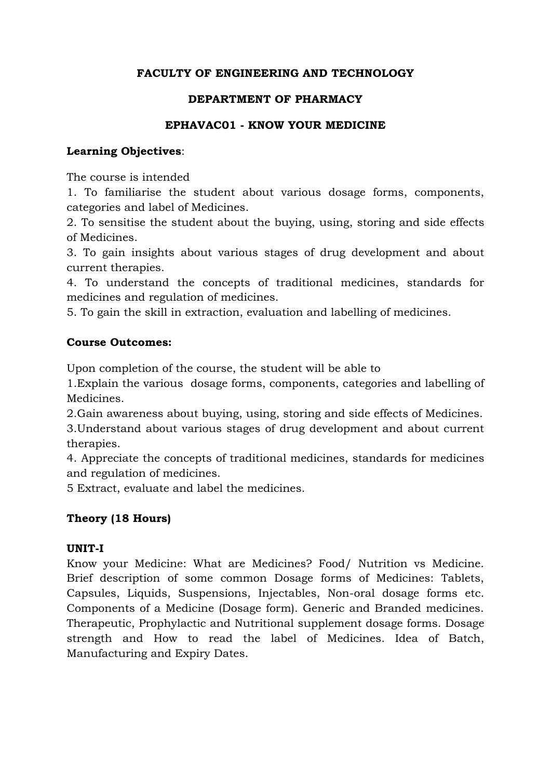# **FACULTY OF ENGINEERING AND TECHNOLOGY**

#### **DEPARTMENT OF PHARMACY**

#### **EPHAVAC01 - KNOW YOUR MEDICINE**

#### **Learning Objectives**:

The course is intended

1. To familiarise the student about various dosage forms, components, categories and label of Medicines.

2. To sensitise the student about the buying, using, storing and side effects of Medicines.

3. To gain insights about various stages of drug development and about current therapies.

4. To understand the concepts of traditional medicines, standards for medicines and regulation of medicines.

5. To gain the skill in extraction, evaluation and labelling of medicines.

#### **Course Outcomes:**

Upon completion of the course, the student will be able to

1.Explain the various dosage forms, components, categories and labelling of Medicines.

2.Gain awareness about buying, using, storing and side effects of Medicines.

3.Understand about various stages of drug development and about current therapies.

4. Appreciate the concepts of traditional medicines, standards for medicines and regulation of medicines.

5 Extract, evaluate and label the medicines.

# **Theory (18 Hours)**

#### **UNIT-I**

Know your Medicine: What are Medicines? Food/ Nutrition vs Medicine. Brief description of some common Dosage forms of Medicines: Tablets, Capsules, Liquids, Suspensions, Injectables, Non-oral dosage forms etc. Components of a Medicine (Dosage form). Generic and Branded medicines. Therapeutic, Prophylactic and Nutritional supplement dosage forms. Dosage strength and How to read the label of Medicines. Idea of Batch, Manufacturing and Expiry Dates.